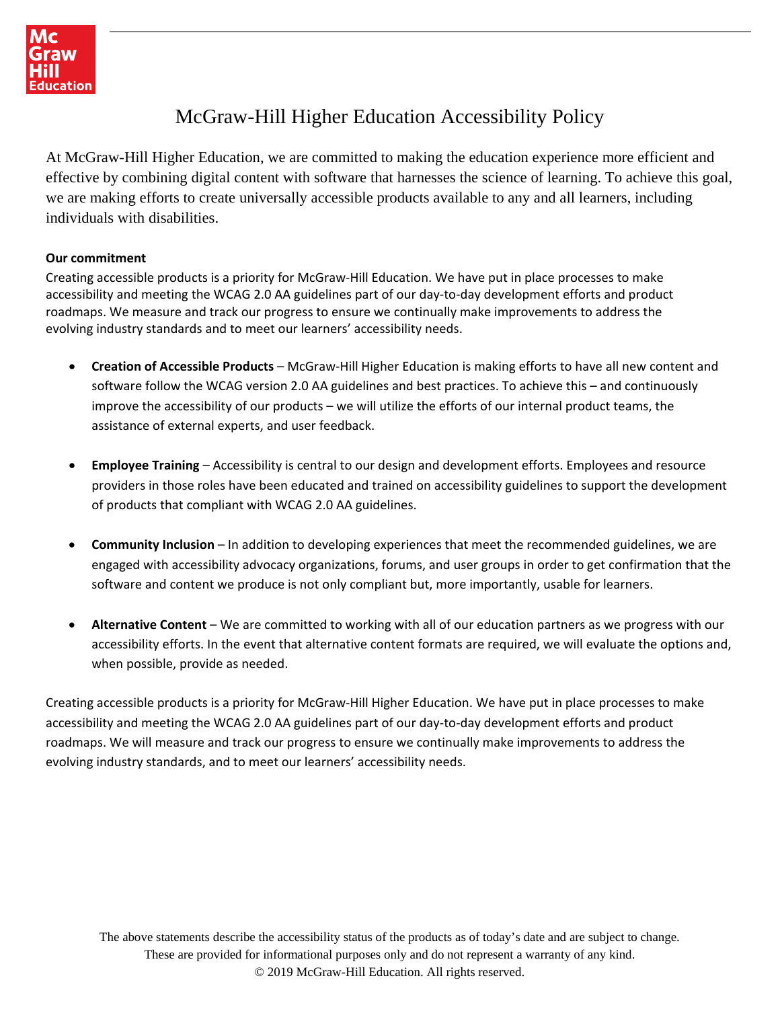

# McGraw-Hill Higher Education Accessibility Policy

At McGraw-Hill Higher Education, we are committed to making the education experience more efficient and effective by combining digital content with software that harnesses the science of learning. To achieve this goal, we are making efforts to create universally accessible products available to any and all learners, including individuals with disabilities.

#### **Our commitment**

Creating accessible products is a priority for McGraw‐Hill Education. We have put in place processes to make accessibility and meeting the WCAG 2.0 AA guidelines part of our day‐to‐day development efforts and product roadmaps. We measure and track our progress to ensure we continually make improvements to address the evolving industry standards and to meet our learners' accessibility needs.

- **Creation of Accessible Products** McGraw-Hill Higher Education is making efforts to have all new content and software follow the WCAG version 2.0 AA guidelines and best practices. To achieve this – and continuously improve the accessibility of our products – we will utilize the efforts of our internal product teams, the assistance of external experts, and user feedback.
- **Employee Training** Accessibility is central to our design and development efforts. Employees and resource providers in those roles have been educated and trained on accessibility guidelines to support the development of products that compliant with WCAG 2.0 AA guidelines.
- **Community Inclusion** In addition to developing experiences that meet the recommended guidelines, we are engaged with accessibility advocacy organizations, forums, and user groups in order to get confirmation that the software and content we produce is not only compliant but, more importantly, usable for learners.
- **Alternative Content** We are committed to working with all of our education partners as we progress with our accessibility efforts. In the event that alternative content formats are required, we will evaluate the options and, when possible, provide as needed.

Creating accessible products is a priority for McGraw-Hill Higher Education. We have put in place processes to make accessibility and meeting the WCAG 2.0 AA guidelines part of our day-to-day development efforts and product roadmaps. We will measure and track our progress to ensure we continually make improvements to address the evolving industry standards, and to meet our learners' accessibility needs.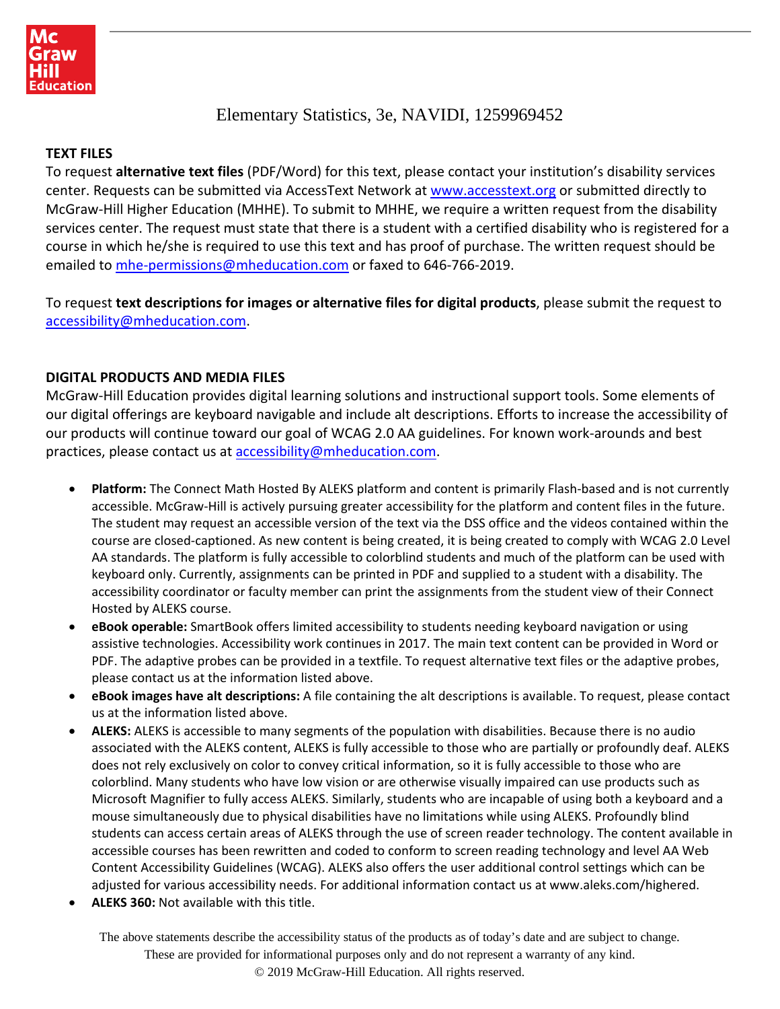## Elementary Statistics, 3e, NAVIDI, 1259969452

#### **TEXT FILES**

To request **alternative text files** (PDF/Word) for this text, please contact your institution's disability services center. Requests can be submitted via AccessText Network at [www.accesstext.org](http://www.accesstext.org/) or submitted directly to McGraw-Hill Higher Education (MHHE). To submit to MHHE, we require a written request from the disability services center. The request must state that there is a student with a certified disability who is registered for a course in which he/she is required to use this text and has proof of purchase. The written request should be emailed to [mhe-permissions@mheducation.com](mailto:mhe-permissions@mheducation.com) or faxed to 646-766-2019.

To request **text descriptions for images or alternative files for digital products**, please submit the request to [accessibility@mheducation.com.](mailto:accessibility@mheducation.com)

#### **DIGITAL PRODUCTS AND MEDIA FILES**

McGraw-Hill Education provides digital learning solutions and instructional support tools. Some elements of our digital offerings are keyboard navigable and include alt descriptions. Efforts to increase the accessibility of our products will continue toward our goal of WCAG 2.0 AA guidelines. For known work-arounds and best practices, please contact us at [accessibility@mheducation.com.](mailto:accessibility@mheducation.com)

- **Platform:** The Connect Math Hosted By ALEKS platform and content is primarily Flash-based and is not currently accessible. McGraw-Hill is actively pursuing greater accessibility for the platform and content files in the future. The student may request an accessible version of the text via the DSS office and the videos contained within the course are closed-captioned. As new content is being created, it is being created to comply with WCAG 2.0 Level AA standards. The platform is fully accessible to colorblind students and much of the platform can be used with keyboard only. Currently, assignments can be printed in PDF and supplied to a student with a disability. The accessibility coordinator or faculty member can print the assignments from the student view of their Connect Hosted by ALEKS course.
- **eBook operable:** SmartBook offers limited accessibility to students needing keyboard navigation or using assistive technologies. Accessibility work continues in 2017. The main text content can be provided in Word or PDF. The adaptive probes can be provided in a textfile. To request alternative text files or the adaptive probes, please contact us at the information listed above.
- **eBook images have alt descriptions:** A file containing the alt descriptions is available. To request, please contact us at the information listed above.
- **ALEKS:** ALEKS is accessible to many segments of the population with disabilities. Because there is no audio associated with the ALEKS content, ALEKS is fully accessible to those who are partially or profoundly deaf. ALEKS does not rely exclusively on color to convey critical information, so it is fully accessible to those who are colorblind. Many students who have low vision or are otherwise visually impaired can use products such as Microsoft Magnifier to fully access ALEKS. Similarly, students who are incapable of using both a keyboard and a mouse simultaneously due to physical disabilities have no limitations while using ALEKS. Profoundly blind students can access certain areas of ALEKS through the use of screen reader technology. The content available in accessible courses has been rewritten and coded to conform to screen reading technology and level AA Web Content Accessibility Guidelines (WCAG). ALEKS also offers the user additional control settings which can be adjusted for various accessibility needs. For additional information contact us at www.aleks.com/highered.
- **ALEKS 360:** Not available with this title.

The above statements describe the accessibility status of the products as of today's date and are subject to change. These are provided for informational purposes only and do not represent a warranty of any kind.

© 2019 McGraw-Hill Education. All rights reserved.